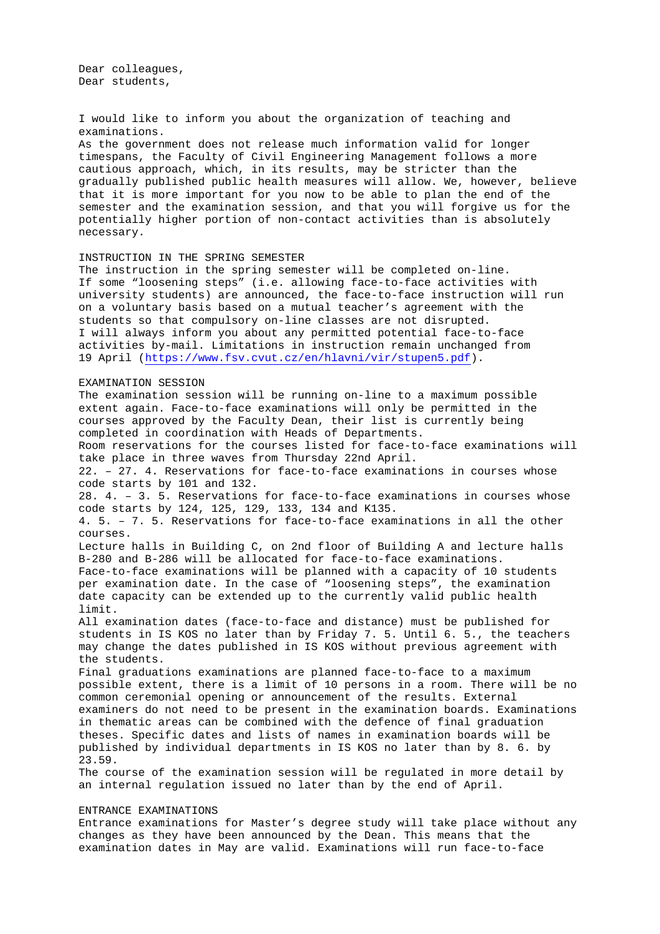Dear colleagues, Dear students,

I would like to inform you about the organization of teaching and examinations. As the government does not release much information valid for longer timespans, the Faculty of Civil Engineering Management follows a more cautious approach, which, in its results, may be stricter than the gradually published public health measures will allow. We, however, believe that it is more important for you now to be able to plan the end of the semester and the examination session, and that you will forgive us for the potentially higher portion of non-contact activities than is absolutely necessary.

## INSTRUCTION IN THE SPRING SEMESTER

The instruction in the spring semester will be completed on-line. If some "loosening steps" (i.e. allowing face-to-face activities with university students) are announced, the face-to-face instruction will run on a voluntary basis based on a mutual teacher's agreement with the students so that compulsory on-line classes are not disrupted. I will always inform you about any permitted potential face-to-face activities by-mail. Limitations in instruction remain unchanged from 19 April [\(https://www.fsv.cvut.cz/en/hlavni/vir/stupen5.pdf\)](https://www.fsv.cvut.cz/en/hlavni/vir/stupen5.pdf).

## EXAMINATION SESSION

The examination session will be running on-line to a maximum possible extent again. Face-to-face examinations will only be permitted in the courses approved by the Faculty Dean, their list is currently being completed in coordination with Heads of Departments. Room reservations for the courses listed for face-to-face examinations will take place in three waves from Thursday 22nd April. 22. – 27. 4. Reservations for face-to-face examinations in courses whose code starts by 101 and 132. 28. 4. – 3. 5. Reservations for face-to-face examinations in courses whose code starts by 124, 125, 129, 133, 134 and K135. 4. 5. – 7. 5. Reservations for face-to-face examinations in all the other courses. Lecture halls in Building C, on 2nd floor of Building A and lecture halls B-280 and B-286 will be allocated for face-to-face examinations. Face-to-face examinations will be planned with a capacity of 10 students per examination date. In the case of "loosening steps", the examination date capacity can be extended up to the currently valid public health limit. All examination dates (face-to-face and distance) must be published for students in IS KOS no later than by Friday 7. 5. Until 6. 5., the teachers may change the dates published in IS KOS without previous agreement with the students. Final graduations examinations are planned face-to-face to a maximum possible extent, there is a limit of 10 persons in a room. There will be no common ceremonial opening or announcement of the results. External examiners do not need to be present in the examination boards. Examinations in thematic areas can be combined with the defence of final graduation theses. Specific dates and lists of names in examination boards will be published by individual departments in IS KOS no later than by 8. 6. by 23.59. The course of the examination session will be regulated in more detail by an internal regulation issued no later than by the end of April.

## ENTRANCE EXAMINATIONS

Entrance examinations for Master's degree study will take place without any changes as they have been announced by the Dean. This means that the examination dates in May are valid. Examinations will run face-to-face